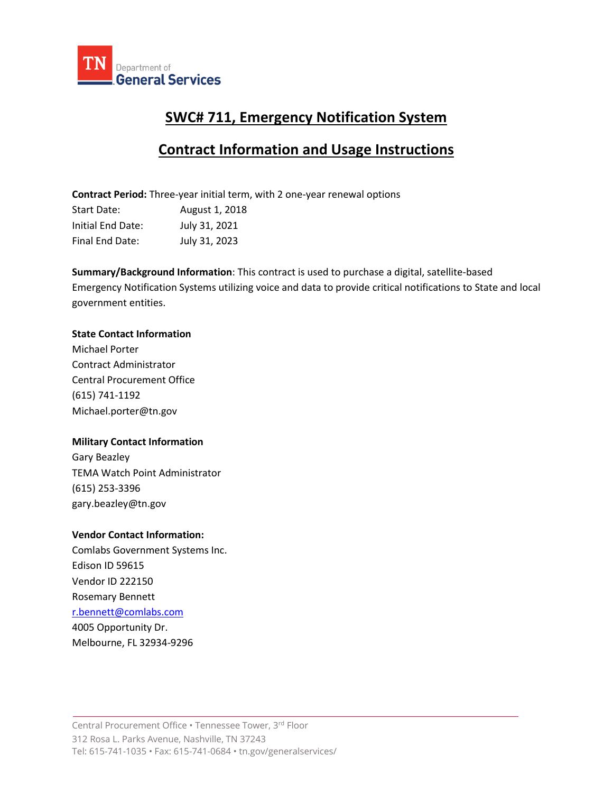

# **SWC# 711, Emergency Notification System**

# **Contract Information and Usage Instructions**

**Contract Period:** Three-year initial term, with 2 one-year renewal options Start Date: August 1, 2018 Initial End Date: July 31, 2021 Final End Date: July 31, 2023

**Summary/Background Information**: This contract is used to purchase a digital, satellite-based Emergency Notification Systems utilizing voice and data to provide critical notifications to State and local government entities.

### **State Contact Information**

Michael Porter Contract Administrator Central Procurement Office (615) 741-1192 Michael.porter@tn.gov

## **Military Contact Information**

Gary Beazley TEMA Watch Point Administrator (615) 253-3396 gary.beazley@tn.gov

## **Vendor Contact Information:**

Comlabs Government Systems Inc. Edison ID 59615 Vendor ID 222150 Rosemary Bennett [r.bennett@comlabs.com](mailto:r.bennett@comlabs.com) 4005 Opportunity Dr. Melbourne, FL 32934-9296